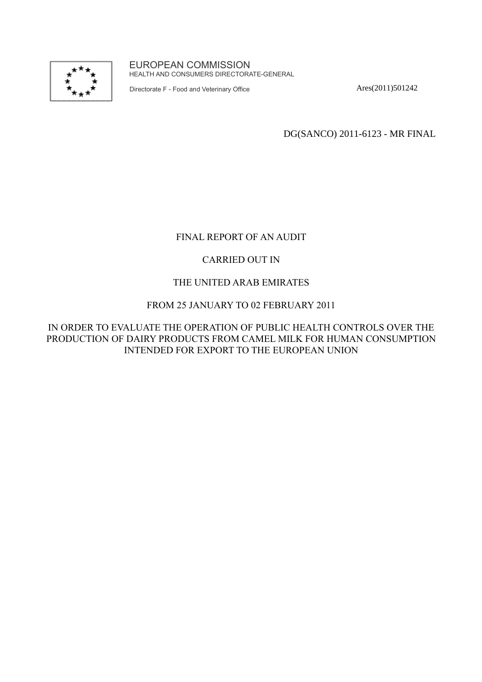

EUROPEAN COMMISSION HEALTH AND CONSUMERS DIRECTORATE-GENERAL

Directorate F - Food and Veterinary Office

Ares(2011)501242

DG(SANCO) 2011-6123 - MR FINAL

# FINAL REPORT OF AN AUDIT

# CARRIED OUT IN

## THE UNITED ARAB EMIRATES

## FROM 25 JANUARY TO 02 FEBRUARY 2011

## IN ORDER TO EVALUATE THE OPERATION OF PUBLIC HEALTH CONTROLS OVER THE PRODUCTION OF DAIRY PRODUCTS FROM CAMEL MILK FOR HUMAN CONSUMPTION INTENDED FOR EXPORT TO THE EUROPEAN UNION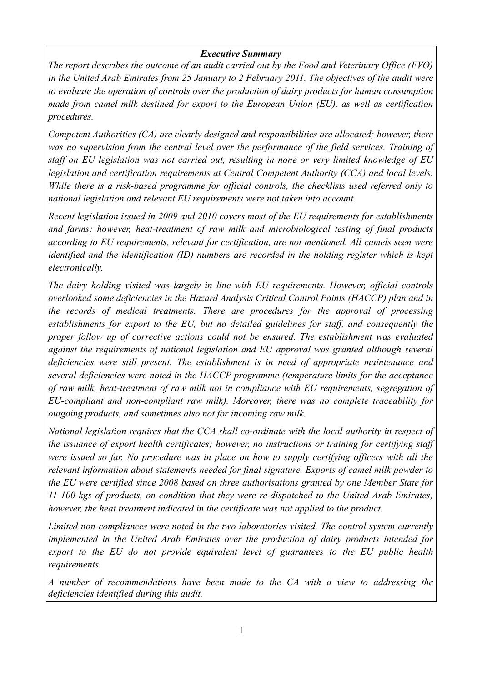## *Executive Summary*

*The report describes the outcome of an audit carried out by the Food and Veterinary Office (FVO) in the United Arab Emirates from 25 January to 2 February 2011. The objectives of the audit were to evaluate the operation of controls over the production of dairy products for human consumption made from camel milk destined for export to the European Union (EU), as well as certification procedures.* 

*Competent Authorities (CA) are clearly designed and responsibilities are allocated; however, there was no supervision from the central level over the performance of the field services. Training of staff on EU legislation was not carried out, resulting in none or very limited knowledge of EU legislation and certification requirements at Central Competent Authority (CCA) and local levels. While there is a risk-based programme for official controls, the checklists used referred only to national legislation and relevant EU requirements were not taken into account.*

*Recent legislation issued in 2009 and 2010 covers most of the EU requirements for establishments and farms; however, heat-treatment of raw milk and microbiological testing of final products according to EU requirements, relevant for certification, are not mentioned. All camels seen were identified and the identification (ID) numbers are recorded in the holding register which is kept electronically.* 

*The dairy holding visited was largely in line with EU requirements. However, official controls overlooked some deficiencies in the Hazard Analysis Critical Control Points (HACCP) plan and in the records of medical treatments. There are procedures for the approval of processing establishments for export to the EU, but no detailed guidelines for staff, and consequently the proper follow up of corrective actions could not be ensured. The establishment was evaluated against the requirements of national legislation and EU approval was granted although several deficiencies were still present. The establishment is in need of appropriate maintenance and several deficiencies were noted in the HACCP programme (temperature limits for the acceptance of raw milk, heat-treatment of raw milk not in compliance with EU requirements, segregation of EU-compliant and non-compliant raw milk). Moreover, there was no complete traceability for outgoing products, and sometimes also not for incoming raw milk.*

*National legislation requires that the CCA shall co-ordinate with the local authority in respect of the issuance of export health certificates; however, no instructions or training for certifying staff were issued so far. No procedure was in place on how to supply certifying officers with all the relevant information about statements needed for final signature. Exports of camel milk powder to the EU were certified since 2008 based on three authorisations granted by one Member State for 11 100 kgs of products, on condition that they were re-dispatched to the United Arab Emirates, however, the heat treatment indicated in the certificate was not applied to the product.*

*Limited non-compliances were noted in the two laboratories visited. The control system currently implemented in the United Arab Emirates over the production of dairy products intended for export to the EU do not provide equivalent level of guarantees to the EU public health requirements.*

*A number of recommendations have been made to the CA with a view to addressing the deficiencies identified during this audit.*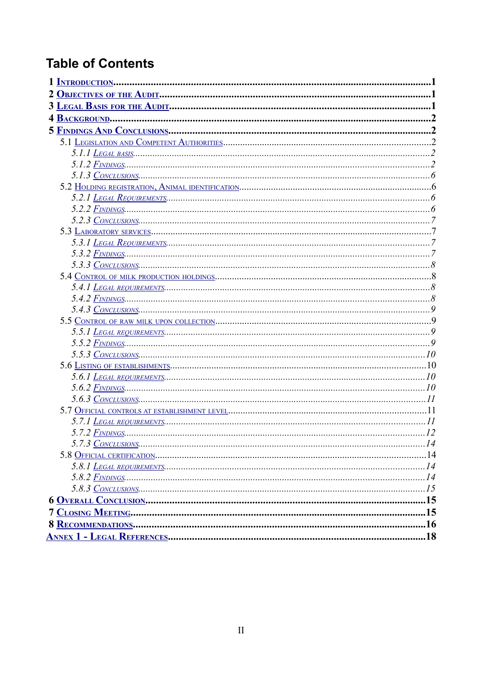# **Table of Contents**

| 5.3.3 $\frac{Convczusions}{8}$ |
|--------------------------------|
|                                |
|                                |
|                                |
|                                |
|                                |
|                                |
|                                |
|                                |
|                                |
|                                |
|                                |
|                                |
|                                |
|                                |
|                                |
|                                |
|                                |
|                                |
|                                |
|                                |
|                                |
|                                |
|                                |
|                                |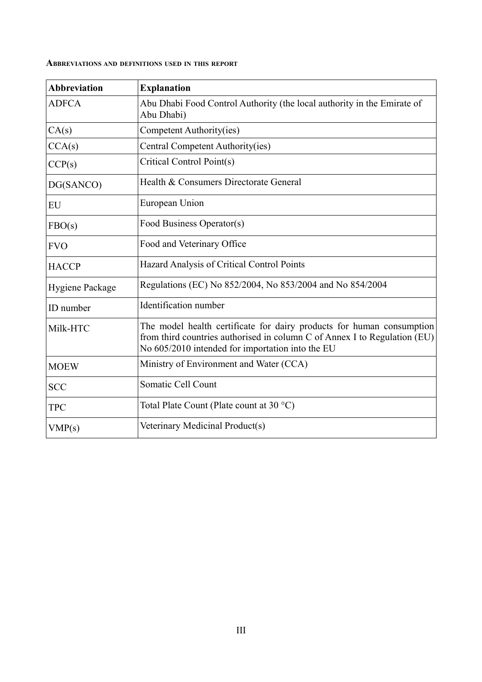| ABBREVIATIONS AND DEFINITIONS USED IN THIS REPORT |  |  |  |
|---------------------------------------------------|--|--|--|
|                                                   |  |  |  |

| <b>Abbreviation</b> | <b>Explanation</b>                                                                                                                                                                                     |
|---------------------|--------------------------------------------------------------------------------------------------------------------------------------------------------------------------------------------------------|
| <b>ADFCA</b>        | Abu Dhabi Food Control Authority (the local authority in the Emirate of<br>Abu Dhabi)                                                                                                                  |
| CA(s)               | Competent Authority(ies)                                                                                                                                                                               |
| CCA(s)              | Central Competent Authority(ies)                                                                                                                                                                       |
| CCP(s)              | Critical Control Point(s)                                                                                                                                                                              |
| DG(SANCO)           | Health & Consumers Directorate General                                                                                                                                                                 |
| EU                  | European Union                                                                                                                                                                                         |
| FBO(s)              | Food Business Operator(s)                                                                                                                                                                              |
| <b>FVO</b>          | Food and Veterinary Office                                                                                                                                                                             |
| <b>HACCP</b>        | Hazard Analysis of Critical Control Points                                                                                                                                                             |
| Hygiene Package     | Regulations (EC) No 852/2004, No 853/2004 and No 854/2004                                                                                                                                              |
| ID number           | Identification number                                                                                                                                                                                  |
| Milk-HTC            | The model health certificate for dairy products for human consumption<br>from third countries authorised in column C of Annex I to Regulation (EU)<br>No 605/2010 intended for importation into the EU |
| <b>MOEW</b>         | Ministry of Environment and Water (CCA)                                                                                                                                                                |
| <b>SCC</b>          | Somatic Cell Count                                                                                                                                                                                     |
| <b>TPC</b>          | Total Plate Count (Plate count at 30 °C)                                                                                                                                                               |
| VMP(s)              | Veterinary Medicinal Product(s)                                                                                                                                                                        |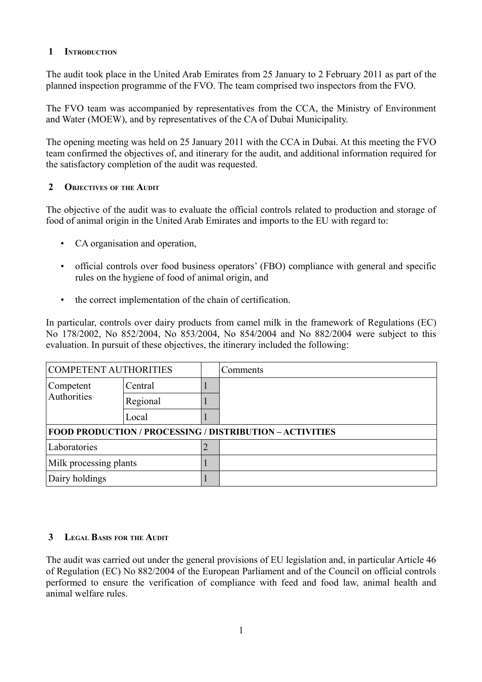## <span id="page-4-0"></span> **1 INTRODUCTION**

The audit took place in the United Arab Emirates from 25 January to 2 February 2011 as part of the planned inspection programme of the FVO. The team comprised two inspectors from the FVO.

The FVO team was accompanied by representatives from the CCA, the Ministry of Environment and Water (MOEW), and by representatives of the CA of Dubai Municipality.

The opening meeting was held on 25 January 2011 with the CCA in Dubai. At this meeting the FVO team confirmed the objectives of, and itinerary for the audit, and additional information required for the satisfactory completion of the audit was requested.

# <span id="page-4-2"></span> **2 OBJECTIVES OF THE AUDIT**

The objective of the audit was to evaluate the official controls related to production and storage of food of animal origin in the United Arab Emirates and imports to the EU with regard to:

- CA organisation and operation,
- official controls over food business operators' (FBO) compliance with general and specific rules on the hygiene of food of animal origin, and
- the correct implementation of the chain of certification.

In particular, controls over dairy products from camel milk in the framework of Regulations (EC) No 178/2002, No 852/2004, No 853/2004, No 854/2004 and No 882/2004 were subject to this evaluation. In pursuit of these objectives, the itinerary included the following:

| <b>COMPETENT AUTHORITIES</b>                                    |          |   | Comments |  |
|-----------------------------------------------------------------|----------|---|----------|--|
| Competent<br>Authorities                                        | Central  |   |          |  |
|                                                                 | Regional |   |          |  |
|                                                                 | Local    |   |          |  |
| <b>FOOD PRODUCTION / PROCESSING / DISTRIBUTION – ACTIVITIES</b> |          |   |          |  |
| Laboratories                                                    |          | 2 |          |  |
| Milk processing plants                                          |          |   |          |  |
| Dairy holdings                                                  |          |   |          |  |

# <span id="page-4-1"></span> **3 LEGAL BASIS FOR THE AUDIT**

The audit was carried out under the general provisions of EU legislation and, in particular Article 46 of Regulation (EC) No 882/2004 of the European Parliament and of the Council on official controls performed to ensure the verification of compliance with feed and food law, animal health and animal welfare rules.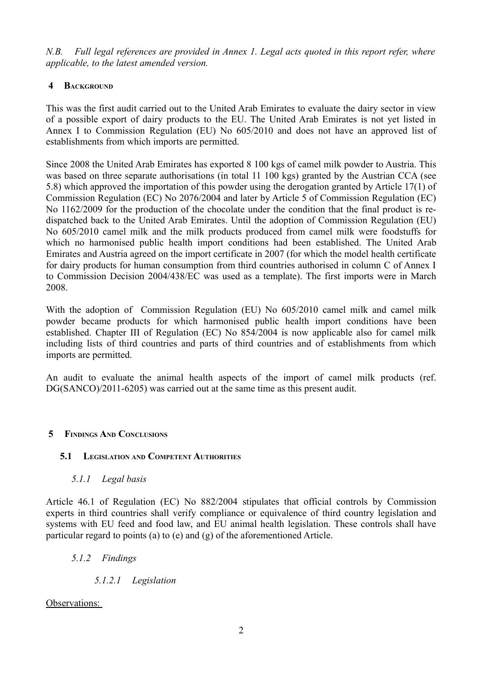*N.B. Full legal references are provided in Annex 1. Legal acts quoted in this report refer, where applicable, to the latest amended version.* 

# <span id="page-5-4"></span> **4 BACKGROUND**

This was the first audit carried out to the United Arab Emirates to evaluate the dairy sector in view of a possible export of dairy products to the EU. The United Arab Emirates is not yet listed in Annex I to Commission Regulation (EU) No 605/2010 and does not have an approved list of establishments from which imports are permitted.

Since 2008 the United Arab Emirates has exported 8 100 kgs of camel milk powder to Austria. This was based on three separate authorisations (in total 11 100 kgs) granted by the Austrian CCA (see 5.8) which approved the importation of this powder using the derogation granted by Article 17(1) of Commission Regulation (EC) No 2076/2004 and later by Article 5 of Commission Regulation (EC) No 1162/2009 for the production of the chocolate under the condition that the final product is redispatched back to the United Arab Emirates. Until the adoption of Commission Regulation (EU) No 605/2010 camel milk and the milk products produced from camel milk were foodstuffs for which no harmonised public health import conditions had been established. The United Arab Emirates and Austria agreed on the import certificate in 2007 (for which the model health certificate for dairy products for human consumption from third countries authorised in column C of Annex I to Commission Decision 2004/438/EC was used as a template). The first imports were in March 2008.

With the adoption of Commission Regulation (EU) No 605/2010 camel milk and camel milk powder became products for which harmonised public health import conditions have been established. Chapter III of Regulation (EC) No 854/2004 is now applicable also for camel milk including lists of third countries and parts of third countries and of establishments from which imports are permitted.

An audit to evaluate the animal health aspects of the import of camel milk products (ref. DG(SANCO)/2011-6205) was carried out at the same time as this present audit.

# <span id="page-5-3"></span> **5 FINDINGS AND CONCLUSIONS**

## <span id="page-5-2"></span> **5.1 LEGISLATION AND COMPETENT AUTHORITIES**

<span id="page-5-1"></span> *5.1.1 Legal basis*

Article 46.1 of Regulation (EC) No 882/2004 stipulates that official controls by Commission experts in third countries shall verify compliance or equivalence of third country legislation and systems with EU feed and food law, and EU animal health legislation. These controls shall have particular regard to points (a) to (e) and (g) of the aforementioned Article.

- <span id="page-5-0"></span> *5.1.2 Findings*
	- *5.1.2.1 Legislation*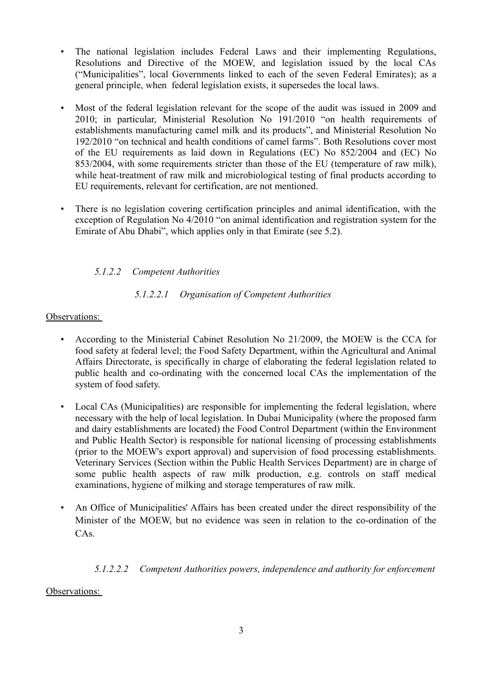- The national legislation includes Federal Laws and their implementing Regulations, Resolutions and Directive of the MOEW, and legislation issued by the local CAs ("Municipalities", local Governments linked to each of the seven Federal Emirates); as a general principle, when federal legislation exists, it supersedes the local laws.
- Most of the federal legislation relevant for the scope of the audit was issued in 2009 and 2010; in particular, Ministerial Resolution No 191/2010 "on health requirements of establishments manufacturing camel milk and its products", and Ministerial Resolution No 192/2010 "on technical and health conditions of camel farms". Both Resolutions cover most of the EU requirements as laid down in Regulations (EC) No 852/2004 and (EC) No 853/2004, with some requirements stricter than those of the EU (temperature of raw milk), while heat-treatment of raw milk and microbiological testing of final products according to EU requirements, relevant for certification, are not mentioned.
- There is no legislation covering certification principles and animal identification, with the exception of Regulation No 4/2010 "on animal identification and registration system for the Emirate of Abu Dhabi", which applies only in that Emirate (see 5.2).

# *5.1.2.2 Competent Authorities*

# *5.1.2.2.1 Organisation of Competent Authorities*

## Observations:

- According to the Ministerial Cabinet Resolution No 21/2009, the MOEW is the CCA for food safety at federal level; the Food Safety Department, within the Agricultural and Animal Affairs Directorate, is specifically in charge of elaborating the federal legislation related to public health and co-ordinating with the concerned local CAs the implementation of the system of food safety.
- Local CAs (Municipalities) are responsible for implementing the federal legislation, where necessary with the help of local legislation. In Dubai Municipality (where the proposed farm and dairy establishments are located) the Food Control Department (within the Environment and Public Health Sector) is responsible for national licensing of processing establishments (prior to the MOEW's export approval) and supervision of food processing establishments. Veterinary Services (Section within the Public Health Services Department) are in charge of some public health aspects of raw milk production, e.g. controls on staff medical examinations, hygiene of milking and storage temperatures of raw milk.
- An Office of Municipalities' Affairs has been created under the direct responsibility of the Minister of the MOEW, but no evidence was seen in relation to the co-ordination of the CAs.

# *5.1.2.2.2 Competent Authorities powers, independence and authority for enforcement*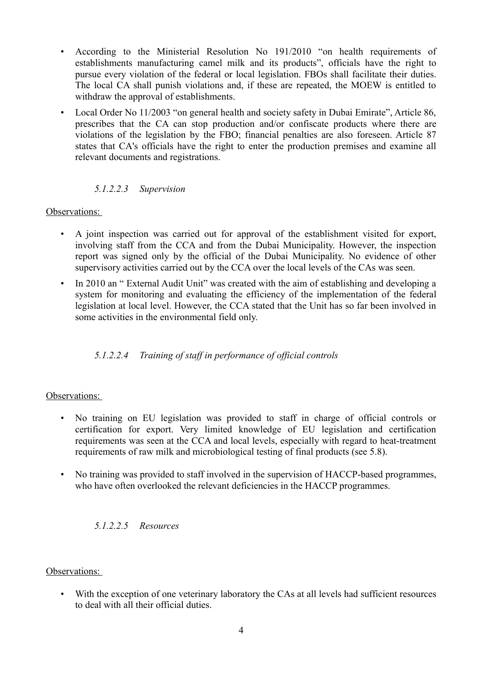- According to the Ministerial Resolution No 191/2010 "on health requirements of establishments manufacturing camel milk and its products", officials have the right to pursue every violation of the federal or local legislation. FBOs shall facilitate their duties. The local CA shall punish violations and, if these are repeated, the MOEW is entitled to withdraw the approval of establishments.
- Local Order No 11/2003 "on general health and society safety in Dubai Emirate", Article 86, prescribes that the CA can stop production and/or confiscate products where there are violations of the legislation by the FBO; financial penalties are also foreseen. Article 87 states that CA's officials have the right to enter the production premises and examine all relevant documents and registrations.

## *5.1.2.2.3 Supervision*

Observations:

- A joint inspection was carried out for approval of the establishment visited for export, involving staff from the CCA and from the Dubai Municipality. However, the inspection report was signed only by the official of the Dubai Municipality. No evidence of other supervisory activities carried out by the CCA over the local levels of the CAs was seen.
- In 2010 an "External Audit Unit" was created with the aim of establishing and developing a system for monitoring and evaluating the efficiency of the implementation of the federal legislation at local level. However, the CCA stated that the Unit has so far been involved in some activities in the environmental field only.

## *5.1.2.2.4 Training of staff in performance of official controls*

#### Observations:

- No training on EU legislation was provided to staff in charge of official controls or certification for export. Very limited knowledge of EU legislation and certification requirements was seen at the CCA and local levels, especially with regard to heat-treatment requirements of raw milk and microbiological testing of final products (see 5.8).
- No training was provided to staff involved in the supervision of HACCP-based programmes, who have often overlooked the relevant deficiencies in the HACCP programmes.

## *5.1.2.2.5 Resources*

#### Observations:

• With the exception of one veterinary laboratory the CAs at all levels had sufficient resources to deal with all their official duties.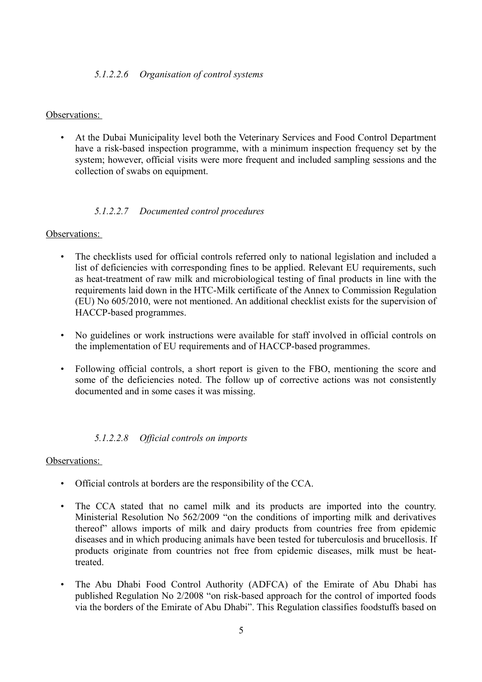#### *5.1.2.2.6 Organisation of control systems*

#### Observations:

• At the Dubai Municipality level both the Veterinary Services and Food Control Department have a risk-based inspection programme, with a minimum inspection frequency set by the system; however, official visits were more frequent and included sampling sessions and the collection of swabs on equipment.

#### *5.1.2.2.7 Documented control procedures*

#### Observations:

- The checklists used for official controls referred only to national legislation and included a list of deficiencies with corresponding fines to be applied. Relevant EU requirements, such as heat-treatment of raw milk and microbiological testing of final products in line with the requirements laid down in the HTC-Milk certificate of the Annex to Commission Regulation (EU) No 605/2010, were not mentioned. An additional checklist exists for the supervision of HACCP-based programmes.
- No guidelines or work instructions were available for staff involved in official controls on the implementation of EU requirements and of HACCP-based programmes.
- Following official controls, a short report is given to the FBO, mentioning the score and some of the deficiencies noted. The follow up of corrective actions was not consistently documented and in some cases it was missing.

#### *5.1.2.2.8 Official controls on imports*

- Official controls at borders are the responsibility of the CCA.
- The CCA stated that no camel milk and its products are imported into the country. Ministerial Resolution No 562/2009 "on the conditions of importing milk and derivatives thereof" allows imports of milk and dairy products from countries free from epidemic diseases and in which producing animals have been tested for tuberculosis and brucellosis. If products originate from countries not free from epidemic diseases, milk must be heattreated.
- The Abu Dhabi Food Control Authority (ADFCA) of the Emirate of Abu Dhabi has published Regulation No 2/2008 "on risk-based approach for the control of imported foods via the borders of the Emirate of Abu Dhabi". This Regulation classifies foodstuffs based on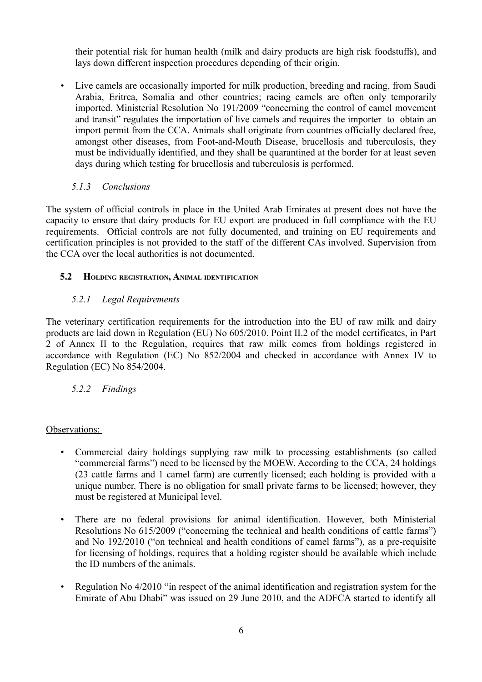their potential risk for human health (milk and dairy products are high risk foodstuffs), and lays down different inspection procedures depending of their origin.

• Live camels are occasionally imported for milk production, breeding and racing, from Saudi Arabia, Eritrea, Somalia and other countries; racing camels are often only temporarily imported. Ministerial Resolution No 191/2009 "concerning the control of camel movement and transit" regulates the importation of live camels and requires the importer to obtain an import permit from the CCA. Animals shall originate from countries officially declared free, amongst other diseases, from Foot-and-Mouth Disease, brucellosis and tuberculosis, they must be individually identified, and they shall be quarantined at the border for at least seven days during which testing for brucellosis and tuberculosis is performed.

# <span id="page-9-3"></span> *5.1.3 Conclusions*

The system of official controls in place in the United Arab Emirates at present does not have the capacity to ensure that dairy products for EU export are produced in full compliance with the EU requirements. Official controls are not fully documented, and training on EU requirements and certification principles is not provided to the staff of the different CAs involved. Supervision from the CCA over the local authorities is not documented.

# <span id="page-9-2"></span> **5.2 HOLDING REGISTRATION, ANIMAL IDENTIFICATION**

# <span id="page-9-1"></span> *5.2.1 Legal Requirements*

The veterinary certification requirements for the introduction into the EU of raw milk and dairy products are laid down in Regulation (EU) No 605/2010. Point II.2 of the model certificates, in Part 2 of Annex II to the Regulation, requires that raw milk comes from holdings registered in accordance with Regulation (EC) No 852/2004 and checked in accordance with Annex IV to Regulation (EC) No 854/2004.

# <span id="page-9-0"></span> *5.2.2 Findings*

- Commercial dairy holdings supplying raw milk to processing establishments (so called "commercial farms") need to be licensed by the MOEW. According to the CCA, 24 holdings (23 cattle farms and 1 camel farm) are currently licensed; each holding is provided with a unique number. There is no obligation for small private farms to be licensed; however, they must be registered at Municipal level.
- There are no federal provisions for animal identification. However, both Ministerial Resolutions No 615/2009 ("concerning the technical and health conditions of cattle farms") and No 192/2010 ("on technical and health conditions of camel farms"), as a pre-requisite for licensing of holdings, requires that a holding register should be available which include the ID numbers of the animals.
- Regulation No 4/2010 "in respect of the animal identification and registration system for the Emirate of Abu Dhabi" was issued on 29 June 2010, and the ADFCA started to identify all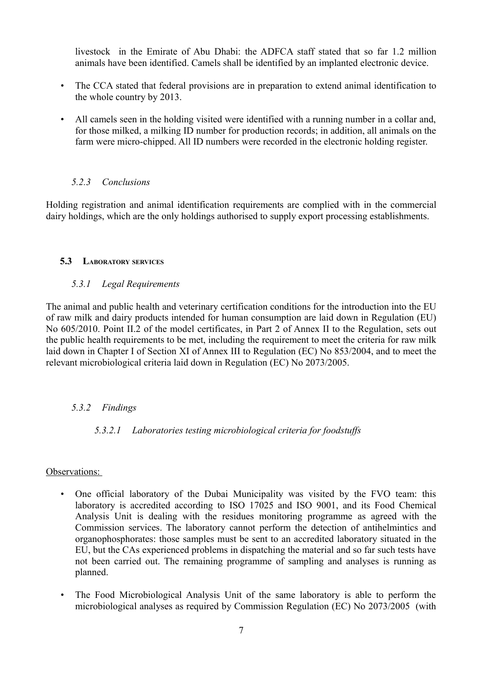livestock in the Emirate of Abu Dhabi: the ADFCA staff stated that so far 1.2 million animals have been identified. Camels shall be identified by an implanted electronic device.

- The CCA stated that federal provisions are in preparation to extend animal identification to the whole country by 2013.
- All camels seen in the holding visited were identified with a running number in a collar and, for those milked, a milking ID number for production records; in addition, all animals on the farm were micro-chipped. All ID numbers were recorded in the electronic holding register.

## <span id="page-10-3"></span> *5.2.3 Conclusions*

Holding registration and animal identification requirements are complied with in the commercial dairy holdings, which are the only holdings authorised to supply export processing establishments.

## <span id="page-10-2"></span> **5.3 LABORATORY SERVICES**

#### <span id="page-10-1"></span> *5.3.1 Legal Requirements*

The animal and public health and veterinary certification conditions for the introduction into the EU of raw milk and dairy products intended for human consumption are laid down in Regulation (EU) No 605/2010. Point II.2 of the model certificates, in Part 2 of Annex II to the Regulation, sets out the public health requirements to be met, including the requirement to meet the criteria for raw milk laid down in Chapter I of Section XI of Annex III to Regulation (EC) No 853/2004, and to meet the relevant microbiological criteria laid down in Regulation (EC) No 2073/2005.

## *5.3.2 Findings*

## <span id="page-10-0"></span> *5.3.2.1 Laboratories testing microbiological criteria for foodstuffs*

- One official laboratory of the Dubai Municipality was visited by the FVO team: this laboratory is accredited according to ISO 17025 and ISO 9001, and its Food Chemical Analysis Unit is dealing with the residues monitoring programme as agreed with the Commission services. The laboratory cannot perform the detection of antihelmintics and organophosphorates: those samples must be sent to an accredited laboratory situated in the EU, but the CAs experienced problems in dispatching the material and so far such tests have not been carried out. The remaining programme of sampling and analyses is running as planned.
- The Food Microbiological Analysis Unit of the same laboratory is able to perform the microbiological analyses as required by Commission Regulation (EC) No 2073/2005 (with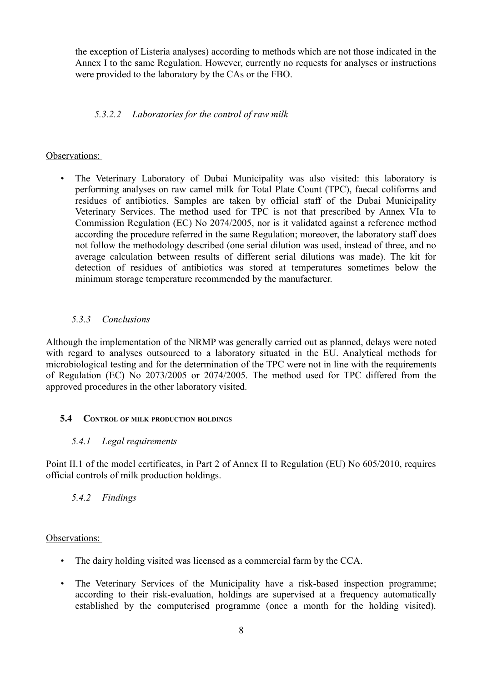the exception of Listeria analyses) according to methods which are not those indicated in the Annex I to the same Regulation. However, currently no requests for analyses or instructions were provided to the laboratory by the CAs or the FBO.

## *5.3.2.2 Laboratories for the control of raw milk*

#### Observations:

• The Veterinary Laboratory of Dubai Municipality was also visited: this laboratory is performing analyses on raw camel milk for Total Plate Count (TPC), faecal coliforms and residues of antibiotics. Samples are taken by official staff of the Dubai Municipality Veterinary Services. The method used for TPC is not that prescribed by Annex VIa to Commission Regulation (EC) No 2074/2005, nor is it validated against a reference method according the procedure referred in the same Regulation; moreover, the laboratory staff does not follow the methodology described (one serial dilution was used, instead of three, and no average calculation between results of different serial dilutions was made). The kit for detection of residues of antibiotics was stored at temperatures sometimes below the minimum storage temperature recommended by the manufacturer.

## <span id="page-11-3"></span> *5.3.3 Conclusions*

Although the implementation of the NRMP was generally carried out as planned, delays were noted with regard to analyses outsourced to a laboratory situated in the EU. Analytical methods for microbiological testing and for the determination of the TPC were not in line with the requirements of Regulation (EC) No 2073/2005 or 2074/2005. The method used for TPC differed from the approved procedures in the other laboratory visited.

## <span id="page-11-2"></span> **5.4 CONTROL OF MILK PRODUCTION HOLDINGS**

## <span id="page-11-1"></span> *5.4.1 Legal requirements*

Point II.1 of the model certificates, in Part 2 of Annex II to Regulation (EU) No 605/2010, requires official controls of milk production holdings.

## <span id="page-11-0"></span> *5.4.2 Findings*

- The dairy holding visited was licensed as a commercial farm by the CCA.
- The Veterinary Services of the Municipality have a risk-based inspection programme; according to their risk-evaluation, holdings are supervised at a frequency automatically established by the computerised programme (once a month for the holding visited).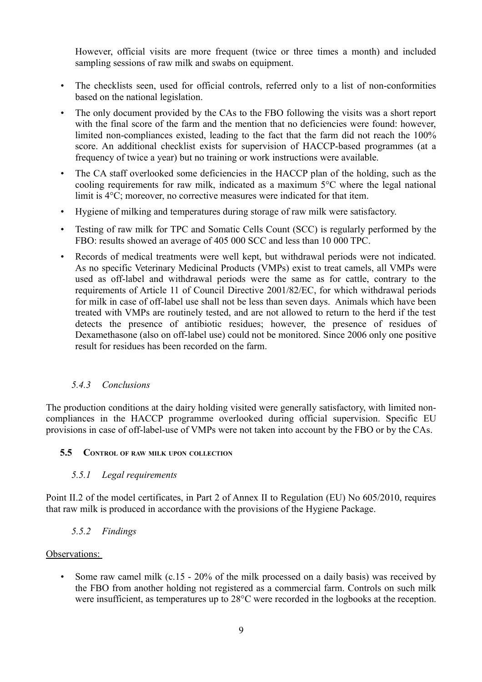However, official visits are more frequent (twice or three times a month) and included sampling sessions of raw milk and swabs on equipment.

- The checklists seen, used for official controls, referred only to a list of non-conformities based on the national legislation.
- The only document provided by the CAs to the FBO following the visits was a short report with the final score of the farm and the mention that no deficiencies were found: however, limited non-compliances existed, leading to the fact that the farm did not reach the 100% score. An additional checklist exists for supervision of HACCP-based programmes (at a frequency of twice a year) but no training or work instructions were available.
- The CA staff overlooked some deficiencies in the HACCP plan of the holding, such as the cooling requirements for raw milk, indicated as a maximum 5°C where the legal national limit is 4°C; moreover, no corrective measures were indicated for that item.
- Hygiene of milking and temperatures during storage of raw milk were satisfactory.
- Testing of raw milk for TPC and Somatic Cells Count (SCC) is regularly performed by the FBO: results showed an average of 405 000 SCC and less than 10 000 TPC.
- Records of medical treatments were well kept, but withdrawal periods were not indicated. As no specific Veterinary Medicinal Products (VMPs) exist to treat camels, all VMPs were used as off-label and withdrawal periods were the same as for cattle, contrary to the requirements of Article 11 of Council Directive 2001/82/EC, for which withdrawal periods for milk in case of off-label use shall not be less than seven days. Animals which have been treated with VMPs are routinely tested, and are not allowed to return to the herd if the test detects the presence of antibiotic residues; however, the presence of residues of Dexamethasone (also on off-label use) could not be monitored. Since 2006 only one positive result for residues has been recorded on the farm.

#### <span id="page-12-3"></span> *5.4.3 Conclusions*

The production conditions at the dairy holding visited were generally satisfactory, with limited noncompliances in the HACCP programme overlooked during official supervision. Specific EU provisions in case of off-label-use of VMPs were not taken into account by the FBO or by the CAs.

#### <span id="page-12-2"></span> **5.5 CONTROL OF RAW MILK UPON COLLECTION**

#### <span id="page-12-1"></span> *5.5.1 Legal requirements*

Point II.2 of the model certificates, in Part 2 of Annex II to Regulation (EU) No 605/2010, requires that raw milk is produced in accordance with the provisions of the Hygiene Package.

#### <span id="page-12-0"></span> *5.5.2 Findings*

#### Observations:

• Some raw camel milk (c.15 - 20% of the milk processed on a daily basis) was received by the FBO from another holding not registered as a commercial farm. Controls on such milk were insufficient, as temperatures up to 28°C were recorded in the logbooks at the reception.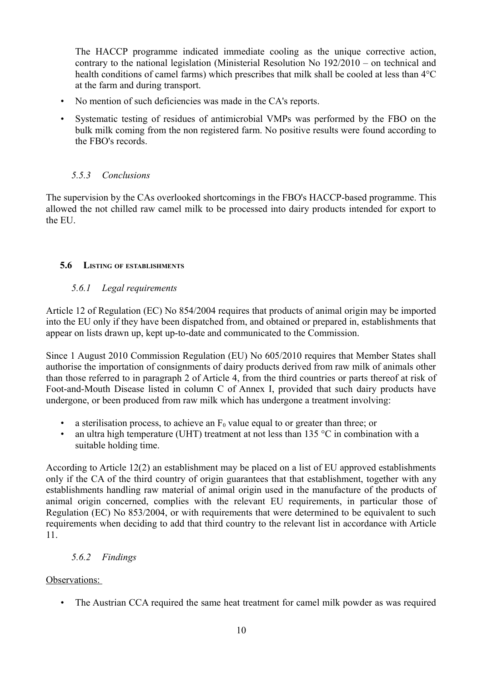The HACCP programme indicated immediate cooling as the unique corrective action, contrary to the national legislation (Ministerial Resolution No 192/2010 – on technical and health conditions of camel farms) which prescribes that milk shall be cooled at less than 4°C at the farm and during transport.

- No mention of such deficiencies was made in the CA's reports.
- Systematic testing of residues of antimicrobial VMPs was performed by the FBO on the bulk milk coming from the non registered farm. No positive results were found according to the FBO's records.

## <span id="page-13-3"></span> *5.5.3 Conclusions*

The supervision by the CAs overlooked shortcomings in the FBO's HACCP-based programme. This allowed the not chilled raw camel milk to be processed into dairy products intended for export to the EU.

#### <span id="page-13-2"></span> **5.6 LISTING OF ESTABLISHMENTS**

#### <span id="page-13-1"></span> *5.6.1 Legal requirements*

Article 12 of Regulation (EC) No 854/2004 requires that products of animal origin may be imported into the EU only if they have been dispatched from, and obtained or prepared in, establishments that appear on lists drawn up, kept up-to-date and communicated to the Commission.

Since 1 August 2010 Commission Regulation (EU) No 605/2010 requires that Member States shall authorise the importation of consignments of dairy products derived from raw milk of animals other than those referred to in paragraph 2 of Article 4, from the third countries or parts thereof at risk of Foot-and-Mouth Disease listed in column C of Annex I, provided that such dairy products have undergone, or been produced from raw milk which has undergone a treatment involving:

- a sterilisation process, to achieve an  $F_0$  value equal to or greater than three; or
- an ultra high temperature (UHT) treatment at not less than  $135 \degree C$  in combination with a suitable holding time.

According to Article 12(2) an establishment may be placed on a list of EU approved establishments only if the CA of the third country of origin guarantees that that establishment, together with any establishments handling raw material of animal origin used in the manufacture of the products of animal origin concerned, complies with the relevant EU requirements, in particular those of Regulation (EC) No 853/2004, or with requirements that were determined to be equivalent to such requirements when deciding to add that third country to the relevant list in accordance with Article 11.

## <span id="page-13-0"></span> *5.6.2 Findings*

## Observations:

• The Austrian CCA required the same heat treatment for camel milk powder as was required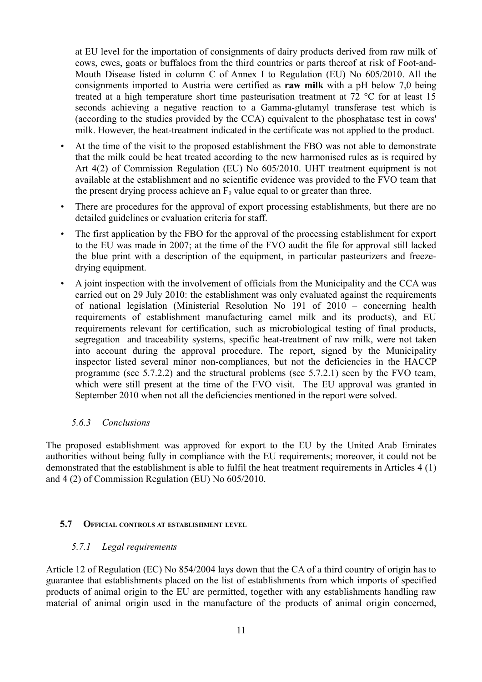at EU level for the importation of consignments of dairy products derived from raw milk of cows, ewes, goats or buffaloes from the third countries or parts thereof at risk of Foot-and-Mouth Disease listed in column C of Annex I to Regulation (EU) No 605/2010. All the consignments imported to Austria were certified as **raw milk** with a pH below 7,0 being treated at a high temperature short time pasteurisation treatment at  $72 \degree C$  for at least 15 seconds achieving a negative reaction to a Gamma-glutamyl transferase test which is (according to the studies provided by the CCA) equivalent to the phosphatase test in cows' milk. However, the heat-treatment indicated in the certificate was not applied to the product.

- At the time of the visit to the proposed establishment the FBO was not able to demonstrate that the milk could be heat treated according to the new harmonised rules as is required by Art 4(2) of Commission Regulation (EU) No 605/2010. UHT treatment equipment is not available at the establishment and no scientific evidence was provided to the FVO team that the present drying process achieve an  $F_0$  value equal to or greater than three.
- There are procedures for the approval of export processing establishments, but there are no detailed guidelines or evaluation criteria for staff.
- The first application by the FBO for the approval of the processing establishment for export to the EU was made in 2007; at the time of the FVO audit the file for approval still lacked the blue print with a description of the equipment, in particular pasteurizers and freezedrying equipment.
- A joint inspection with the involvement of officials from the Municipality and the CCA was carried out on 29 July 2010: the establishment was only evaluated against the requirements of national legislation (Ministerial Resolution No 191 of 2010 – concerning health requirements of establishment manufacturing camel milk and its products), and EU requirements relevant for certification, such as microbiological testing of final products, segregation and traceability systems, specific heat-treatment of raw milk, were not taken into account during the approval procedure. The report, signed by the Municipality inspector listed several minor non-compliances, but not the deficiencies in the HACCP programme (see 5.7.2.2) and the structural problems (see 5.7.2.1) seen by the FVO team, which were still present at the time of the FVO visit. The EU approval was granted in September 2010 when not all the deficiencies mentioned in the report were solved.

#### <span id="page-14-2"></span> *5.6.3 Conclusions*

The proposed establishment was approved for export to the EU by the United Arab Emirates authorities without being fully in compliance with the EU requirements; moreover, it could not be demonstrated that the establishment is able to fulfil the heat treatment requirements in Articles 4 (1) and 4 (2) of Commission Regulation (EU) No 605/2010.

#### <span id="page-14-1"></span> **5.7 OFFICIAL CONTROLS AT ESTABLISHMENT LEVEL**

#### <span id="page-14-0"></span> *5.7.1 Legal requirements*

Article 12 of Regulation (EC) No 854/2004 lays down that the CA of a third country of origin has to guarantee that establishments placed on the list of establishments from which imports of specified products of animal origin to the EU are permitted, together with any establishments handling raw material of animal origin used in the manufacture of the products of animal origin concerned,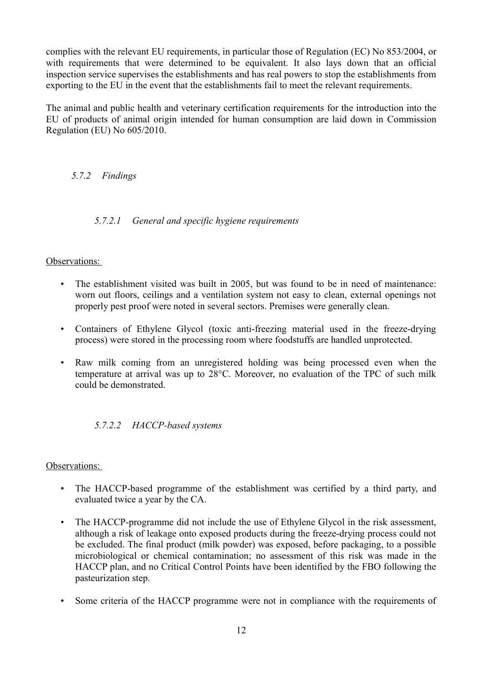complies with the relevant EU requirements, in particular those of Regulation (EC) No 853/2004, or with requirements that were determined to be equivalent. It also lays down that an official inspection service supervises the establishments and has real powers to stop the establishments from exporting to the EU in the event that the establishments fail to meet the relevant requirements.

The animal and public health and veterinary certification requirements for the introduction into the EU of products of animal origin intended for human consumption are laid down in Commission Regulation (EU) No 605/2010.

# <span id="page-15-0"></span> *5.7.2 Findings*

# *5.7.2.1 General and specific hygiene requirements*

## Observations:

- The establishment visited was built in 2005, but was found to be in need of maintenance: worn out floors, ceilings and a ventilation system not easy to clean, external openings not properly pest proof were noted in several sectors. Premises were generally clean.
- Containers of Ethylene Glycol (toxic anti-freezing material used in the freeze-drying process) were stored in the processing room where foodstuffs are handled unprotected.
- Raw milk coming from an unregistered holding was being processed even when the temperature at arrival was up to 28°C. Moreover, no evaluation of the TPC of such milk could be demonstrated.

## *5.7.2.2 HACCP-based systems*

- The HACCP-based programme of the establishment was certified by a third party, and evaluated twice a year by the CA.
- The HACCP-programme did not include the use of Ethylene Glycol in the risk assessment, although a risk of leakage onto exposed products during the freeze-drying process could not be excluded. The final product (milk powder) was exposed, before packaging, to a possible microbiological or chemical contamination; no assessment of this risk was made in the HACCP plan, and no Critical Control Points have been identified by the FBO following the pasteurization step.
- Some criteria of the HACCP programme were not in compliance with the requirements of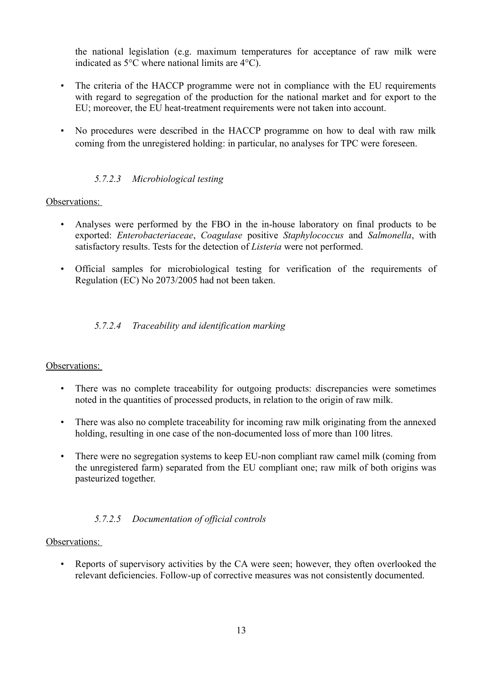the national legislation (e.g. maximum temperatures for acceptance of raw milk were indicated as 5°C where national limits are 4°C).

- The criteria of the HACCP programme were not in compliance with the EU requirements with regard to segregation of the production for the national market and for export to the EU; moreover, the EU heat-treatment requirements were not taken into account.
- No procedures were described in the HACCP programme on how to deal with raw milk coming from the unregistered holding: in particular, no analyses for TPC were foreseen.

# *5.7.2.3 Microbiological testing*

## Observations:

- Analyses were performed by the FBO in the in-house laboratory on final products to be exported: *Enterobacteriaceae*, *Coagulase* positive *Staphylococcus* and *Salmonella*, with satisfactory results. Tests for the detection of *Listeria* were not performed.
- Official samples for microbiological testing for verification of the requirements of Regulation (EC) No 2073/2005 had not been taken.

# *5.7.2.4 Traceability and identification marking*

#### Observations:

- There was no complete traceability for outgoing products: discrepancies were sometimes noted in the quantities of processed products, in relation to the origin of raw milk.
- There was also no complete traceability for incoming raw milk originating from the annexed holding, resulting in one case of the non-documented loss of more than 100 litres.
- There were no segregation systems to keep EU-non compliant raw camel milk (coming from the unregistered farm) separated from the EU compliant one; raw milk of both origins was pasteurized together.

## *5.7.2.5 Documentation of official controls*

#### Observations:

• Reports of supervisory activities by the CA were seen; however, they often overlooked the relevant deficiencies. Follow-up of corrective measures was not consistently documented.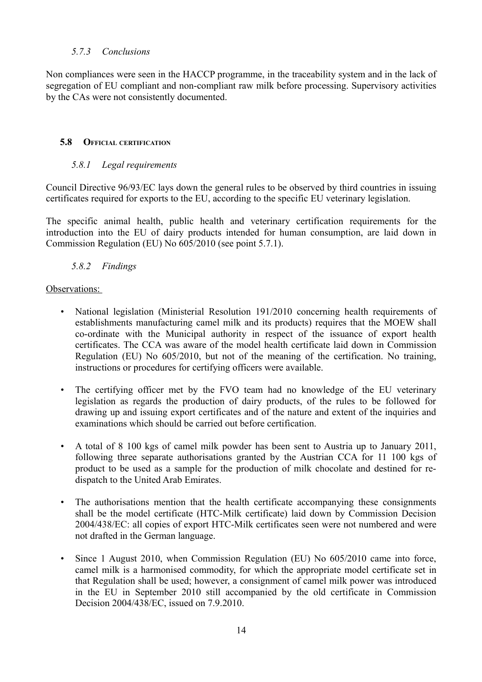#### <span id="page-17-3"></span> *5.7.3 Conclusions*

Non compliances were seen in the HACCP programme, in the traceability system and in the lack of segregation of EU compliant and non-compliant raw milk before processing. Supervisory activities by the CAs were not consistently documented.

#### <span id="page-17-2"></span> **5.8 OFFICIAL CERTIFICATION**

#### <span id="page-17-1"></span> *5.8.1 Legal requirements*

Council Directive 96/93/EC lays down the general rules to be observed by third countries in issuing certificates required for exports to the EU, according to the specific EU veterinary legislation.

The specific animal health, public health and veterinary certification requirements for the introduction into the EU of dairy products intended for human consumption, are laid down in Commission Regulation (EU) No 605/2010 (see point 5.7.1).

#### <span id="page-17-0"></span> *5.8.2 Findings*

- National legislation (Ministerial Resolution 191/2010 concerning health requirements of establishments manufacturing camel milk and its products) requires that the MOEW shall co-ordinate with the Municipal authority in respect of the issuance of export health certificates. The CCA was aware of the model health certificate laid down in Commission Regulation (EU) No 605/2010, but not of the meaning of the certification. No training, instructions or procedures for certifying officers were available.
- The certifying officer met by the FVO team had no knowledge of the EU veterinary legislation as regards the production of dairy products, of the rules to be followed for drawing up and issuing export certificates and of the nature and extent of the inquiries and examinations which should be carried out before certification.
- A total of 8 100 kgs of camel milk powder has been sent to Austria up to January 2011, following three separate authorisations granted by the Austrian CCA for 11 100 kgs of product to be used as a sample for the production of milk chocolate and destined for redispatch to the United Arab Emirates.
- The authorisations mention that the health certificate accompanying these consignments shall be the model certificate (HTC-Milk certificate) laid down by Commission Decision 2004/438/EC: all copies of export HTC-Milk certificates seen were not numbered and were not drafted in the German language.
- Since 1 August 2010, when Commission Regulation (EU) No 605/2010 came into force, camel milk is a harmonised commodity, for which the appropriate model certificate set in that Regulation shall be used; however, a consignment of camel milk power was introduced in the EU in September 2010 still accompanied by the old certificate in Commission Decision 2004/438/EC, issued on 7.9.2010.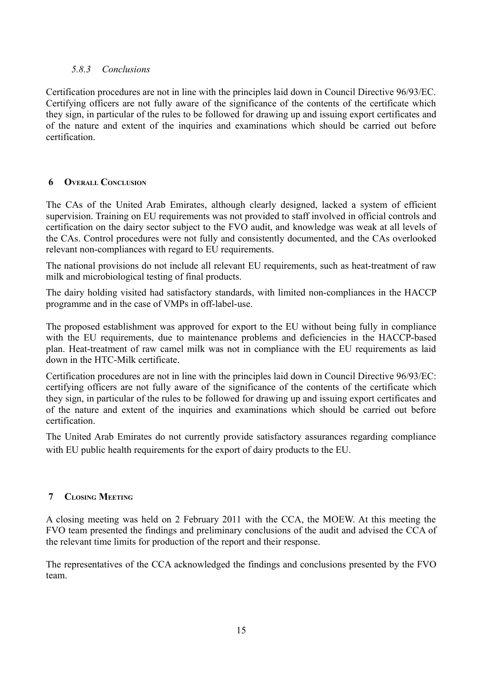## <span id="page-18-2"></span> *5.8.3 Conclusions*

Certification procedures are not in line with the principles laid down in Council Directive 96/93/EC. Certifying officers are not fully aware of the significance of the contents of the certificate which they sign, in particular of the rules to be followed for drawing up and issuing export certificates and of the nature and extent of the inquiries and examinations which should be carried out before certification.

#### <span id="page-18-1"></span> **6 OVERALL CONCLUSION**

The CAs of the United Arab Emirates, although clearly designed, lacked a system of efficient supervision. Training on EU requirements was not provided to staff involved in official controls and certification on the dairy sector subject to the FVO audit, and knowledge was weak at all levels of the CAs. Control procedures were not fully and consistently documented, and the CAs overlooked relevant non-compliances with regard to EU requirements.

The national provisions do not include all relevant EU requirements, such as heat-treatment of raw milk and microbiological testing of final products.

The dairy holding visited had satisfactory standards, with limited non-compliances in the HACCP programme and in the case of VMPs in off-label-use.

The proposed establishment was approved for export to the EU without being fully in compliance with the EU requirements, due to maintenance problems and deficiencies in the HACCP-based plan. Heat-treatment of raw camel milk was not in compliance with the EU requirements as laid down in the HTC-Milk certificate.

Certification procedures are not in line with the principles laid down in Council Directive 96/93/EC: certifying officers are not fully aware of the significance of the contents of the certificate which they sign, in particular of the rules to be followed for drawing up and issuing export certificates and of the nature and extent of the inquiries and examinations which should be carried out before certification.

The United Arab Emirates do not currently provide satisfactory assurances regarding compliance with EU public health requirements for the export of dairy products to the EU.

## <span id="page-18-0"></span> **7 CLOSING MEETING**

A closing meeting was held on 2 February 2011 with the CCA, the MOEW. At this meeting the FVO team presented the findings and preliminary conclusions of the audit and advised the CCA of the relevant time limits for production of the report and their response.

The representatives of the CCA acknowledged the findings and conclusions presented by the FVO team.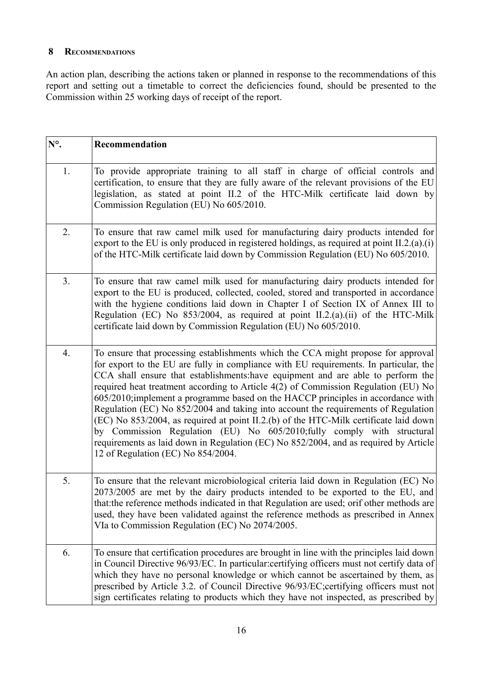## <span id="page-19-0"></span> **8 RECOMMENDATIONS**

An action plan, describing the actions taken or planned in response to the recommendations of this report and setting out a timetable to correct the deficiencies found, should be presented to the Commission within 25 working days of receipt of the report.

| $N^{\circ}$ .  | Recommendation                                                                                                                                                                                                                                                                                                                                                                                                                                                                                                                                                                                                                                                                                                                                                                                                                 |
|----------------|--------------------------------------------------------------------------------------------------------------------------------------------------------------------------------------------------------------------------------------------------------------------------------------------------------------------------------------------------------------------------------------------------------------------------------------------------------------------------------------------------------------------------------------------------------------------------------------------------------------------------------------------------------------------------------------------------------------------------------------------------------------------------------------------------------------------------------|
| 1.             | To provide appropriate training to all staff in charge of official controls and<br>certification, to ensure that they are fully aware of the relevant provisions of the EU<br>legislation, as stated at point II.2 of the HTC-Milk certificate laid down by<br>Commission Regulation (EU) No 605/2010.                                                                                                                                                                                                                                                                                                                                                                                                                                                                                                                         |
| 2.             | To ensure that raw camel milk used for manufacturing dairy products intended for<br>export to the EU is only produced in registered holdings, as required at point $II.2.(a).(i)$<br>of the HTC-Milk certificate laid down by Commission Regulation (EU) No 605/2010.                                                                                                                                                                                                                                                                                                                                                                                                                                                                                                                                                          |
| 3 <sub>1</sub> | To ensure that raw camel milk used for manufacturing dairy products intended for<br>export to the EU is produced, collected, cooled, stored and transported in accordance<br>with the hygiene conditions laid down in Chapter I of Section IX of Annex III to<br>Regulation (EC) No 853/2004, as required at point II.2.(a).(ii) of the HTC-Milk<br>certificate laid down by Commission Regulation (EU) No 605/2010.                                                                                                                                                                                                                                                                                                                                                                                                           |
| 4.             | To ensure that processing establishments which the CCA might propose for approval<br>for export to the EU are fully in compliance with EU requirements. In particular, the<br>CCA shall ensure that establishments: have equipment and are able to perform the<br>required heat treatment according to Article 4(2) of Commission Regulation (EU) No<br>605/2010;implement a programme based on the HACCP principles in accordance with<br>Regulation (EC) No 852/2004 and taking into account the requirements of Regulation<br>(EC) No 853/2004, as required at point II.2.(b) of the HTC-Milk certificate laid down<br>by Commission Regulation (EU) No 605/2010;fully comply with structural<br>requirements as laid down in Regulation (EC) No 852/2004, and as required by Article<br>12 of Regulation (EC) No 854/2004. |
| 5.             | To ensure that the relevant microbiological criteria laid down in Regulation (EC) No<br>2073/2005 are met by the dairy products intended to be exported to the EU, and<br>that: the reference methods indicated in that Regulation are used; orif other methods are<br>used, they have been validated against the reference methods as prescribed in Annex<br>VIa to Commission Regulation (EC) No 2074/2005.                                                                                                                                                                                                                                                                                                                                                                                                                  |
| 6.             | To ensure that certification procedures are brought in line with the principles laid down<br>in Council Directive 96/93/EC. In particular: certifying officers must not certify data of<br>which they have no personal knowledge or which cannot be ascertained by them, as<br>prescribed by Article 3.2. of Council Directive 96/93/EC; certifying officers must not<br>sign certificates relating to products which they have not inspected, as prescribed by                                                                                                                                                                                                                                                                                                                                                                |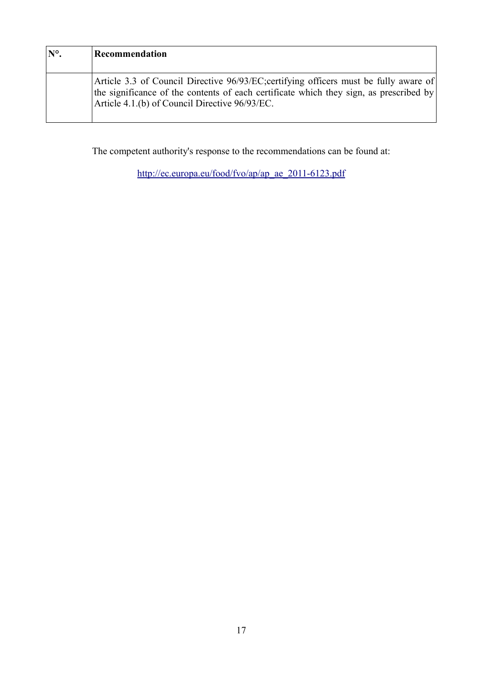| $\mathbf{N}^{\circ}$ . | Recommendation                                                                                                                                                                                                                    |
|------------------------|-----------------------------------------------------------------------------------------------------------------------------------------------------------------------------------------------------------------------------------|
|                        | Article 3.3 of Council Directive 96/93/EC; certifying officers must be fully aware of<br>the significance of the contents of each certificate which they sign, as prescribed by<br>Article 4.1.(b) of Council Directive 96/93/EC. |

The competent authority's response to the recommendations can be found at:

[http://ec.europa.eu/food/fvo/ap/ap\\_ae\\_2011-6123.pdf](http://ec.europa.eu/food/fvo/ap/ap_ae_2011-6123.pdf)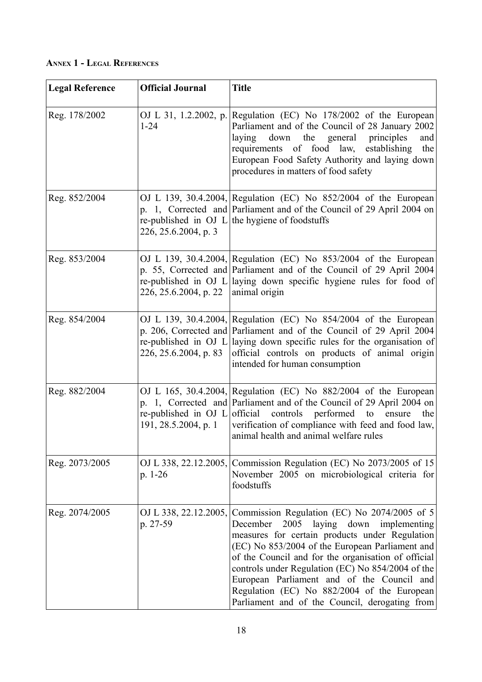<span id="page-21-0"></span>**ANNEX 1 - LEGAL REFERENCES**

| <b>Legal Reference</b> | <b>Official Journal</b>                       | <b>Title</b>                                                                                                                                                                                                                                                                                                                                                                                                                                                    |
|------------------------|-----------------------------------------------|-----------------------------------------------------------------------------------------------------------------------------------------------------------------------------------------------------------------------------------------------------------------------------------------------------------------------------------------------------------------------------------------------------------------------------------------------------------------|
| Reg. 178/2002          | OJ L 31, 1.2.2002, p.<br>$1 - 24$             | Regulation (EC) No 178/2002 of the European<br>Parliament and of the Council of 28 January 2002<br>laying<br>down the general<br>principles<br>and<br>requirements of food law,<br>establishing<br>the<br>European Food Safety Authority and laying down<br>procedures in matters of food safety                                                                                                                                                                |
| Reg. 852/2004          | 226, 25.6.2004, p. 3                          | OJ L 139, 30.4.2004, Regulation (EC) No 852/2004 of the European<br>p. 1, Corrected and Parliament and of the Council of 29 April 2004 on<br>re-published in OJ L the hygiene of foodstuffs                                                                                                                                                                                                                                                                     |
| Reg. 853/2004          | 226, 25.6.2004, p. 22                         | OJ L 139, 30.4.2004, Regulation (EC) No 853/2004 of the European<br>p. 55, Corrected and Parliament and of the Council of 29 April 2004<br>re-published in OJ L laying down specific hygiene rules for food of<br>animal origin                                                                                                                                                                                                                                 |
| Reg. 854/2004          | re-published in OJ L<br>226, 25.6.2004, p. 83 | OJ L 139, 30.4.2004, Regulation (EC) No $854/2004$ of the European<br>p. 206, Corrected and Parliament and of the Council of 29 April 2004<br>laying down specific rules for the organisation of<br>official controls on products of animal origin<br>intended for human consumption                                                                                                                                                                            |
| Reg. 882/2004          | 191, 28.5.2004, p. 1                          | OJ L 165, 30.4.2004, Regulation (EC) No $882/2004$ of the European<br>p. 1, Corrected and Parliament and of the Council of 29 April 2004 on<br>re-published in OJ $L$ official controls performed to<br>ensure<br>the<br>verification of compliance with feed and food law,<br>animal health and animal welfare rules                                                                                                                                           |
| Reg. 2073/2005         | OJ L 338, 22.12.2005,<br>p. $1-26$            | Commission Regulation (EC) No 2073/2005 of 15<br>November 2005 on microbiological criteria for<br>foodstuffs                                                                                                                                                                                                                                                                                                                                                    |
| Reg. 2074/2005         | OJ L 338, 22.12.2005,<br>p. 27-59             | Commission Regulation (EC) No 2074/2005 of 5<br>2005<br>December<br>laying down<br>implementing<br>measures for certain products under Regulation<br>(EC) No 853/2004 of the European Parliament and<br>of the Council and for the organisation of official<br>controls under Regulation (EC) No 854/2004 of the<br>European Parliament and of the Council and<br>Regulation (EC) No 882/2004 of the European<br>Parliament and of the Council, derogating from |